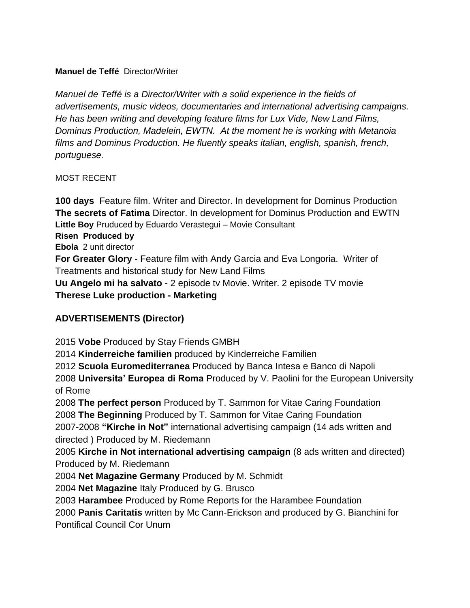#### **Manuel de Teffé** Director/Writer

*Manuel de Teffé is a Director/Writer with a solid experience in the fields of advertisements, music videos, documentaries and international advertising campaigns. He has been writing and developing feature films for Lux Vide, New Land Films, Dominus Production, Madelein, EWTN. At the moment he is working with Metanoia films and Dominus Production. He fluently speaks italian, english, spanish, french, portuguese.* 

#### MOST RECENT

**100 days** Feature film. Writer and Director. In development for Dominus Production **The secrets of Fatima** Director. In development for Dominus Production and EWTN **Little Boy** Pruduced by Eduardo Verastegui – Movie Consultant

#### **Risen Produced by**

**Ebola** 2 unit director

**For Greater Glory** - Feature film with Andy Garcia and Eva Longoria. Writer of Treatments and historical study for New Land Films

**Uu Angelo mi ha salvato** - 2 episode tv Movie. Writer. 2 episode TV movie **Therese Luke production - Marketing**

## **ADVERTISEMENTS (Director)**

2015 **Vobe** Produced by Stay Friends GMBH

2014 **Kinderreiche familien** produced by Kinderreiche Familien

2012 **Scuola Euromediterranea** Produced by Banca Intesa e Banco di Napoli

2008 **Universita' Europea di Roma** Produced by V. Paolini for the European University of Rome

2008 **The perfect person** Produced by T. Sammon for Vitae Caring Foundation 2008 **The Beginning** Produced by T. Sammon for Vitae Caring Foundation

2007-2008 **"Kirche in Not"** international advertising campaign (14 ads written and directed ) Produced by M. Riedemann

2005 **Kirche in Not international advertising campaign** (8 ads written and directed) Produced by M. Riedemann

2004 **Net Magazine Germany** Produced by M. Schmidt

2004 **Net Magazine** Italy Produced by G. Brusco

2003 **Harambee** Produced by Rome Reports for the Harambee Foundation

2000 **Panis Caritatis** written by Mc Cann-Erickson and produced by G. Bianchini for

Pontifical Council Cor Unum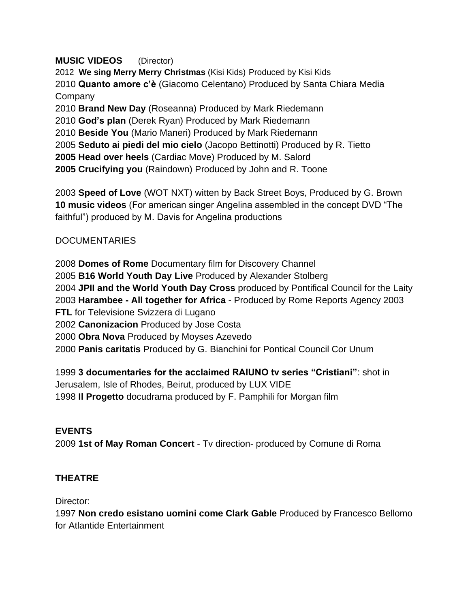#### **MUSIC VIDEOS** (Director)

**We sing Merry Merry Christmas** (Kisi Kids) Produced by Kisi Kids **Quanto amore c'è** (Giacomo Celentano) Produced by Santa Chiara Media Company **Brand New Day** (Roseanna) Produced by Mark Riedemann **God's plan** (Derek Ryan) Produced by Mark Riedemann **Beside You** (Mario Maneri) Produced by Mark Riedemann **Seduto ai piedi del mio cielo** (Jacopo Bettinotti) Produced by R. Tietto **2005 Head over heels** (Cardiac Move) Produced by M. Salord **2005 Crucifying you** (Raindown) Produced by John and R. Toone

2003 **Speed of Love** (WOT NXT) witten by Back Street Boys, Produced by G. Brown **10 music videos** (For american singer Angelina assembled in the concept DVD "The faithful") produced by M. Davis for Angelina productions

## **DOCUMENTARIES**

**Domes of Rome** Documentary film for Discovery Channel **B16 World Youth Day Live** Produced by Alexander Stolberg **JPII and the World Youth Day Cross** produced by Pontifical Council for the Laity **Harambee - All together for Africa** - Produced by Rome Reports Agency 2003 **FTL** for Televisione Svizzera di Lugano **Canonizacion** Produced by Jose Costa **Obra Nova** Produced by Moyses Azevedo **Panis caritatis** Produced by G. Bianchini for Pontical Council Cor Unum

1999 **3 documentaries for the acclaimed RAIUNO tv series "Cristiani"**: shot in Jerusalem, Isle of Rhodes, Beirut, produced by LUX VIDE 1998 **Il Progetto** docudrama produced by F. Pamphili for Morgan film

## **EVENTS**

2009 **1st of May Roman Concert** - Tv direction- produced by Comune di Roma

# **THEATRE**

Director:

1997 **Non credo esistano uomini come Clark Gable** Produced by Francesco Bellomo for Atlantide Entertainment